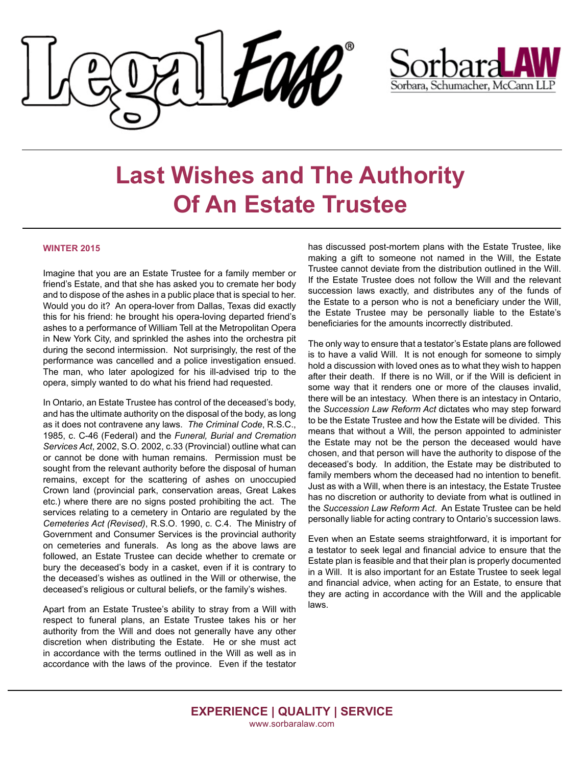



## **Last Wishes and The Authority Of An Estate Trustee**

## **When a doctor makes a mistake WINTER 2015**

**FALL 2015**

Imagine that you are an Estate Trustee for a family member or magnic that you are all Estate Trastee for a laminy member of<br>friend's Estate, and that she has asked you to cremate her body  $\frac{1}{2}$  is most different times. However, we can be called to a set of the second that  $\frac{1}{2}$ and to dispose of the ashes in a public place that is special to her.<br>... Would you do it? An opera-lover from Dallas, Texas did exactly this for his friend: he brought his opera-loving departed friend's ashes to a performance of William Tell at the Metropolitan Opera during the second intermission. Not surprisingly, the rest of the performance was cancelled and a police investigation ensued. The man, who later apologized for his ill-advised trip to the opera, simply wanted to do what his friend had requested. in New York City, and sprinkled the ashes into the orchestra pit

In Ontario, an Estate Trustee has control of the deceased's body, and has the ultimate authority on the disposal of the body, as long as it does not contravene any laws. The Criminal Code, R.S.C., 1985, c. C-46 (Federal) and the Funeral, Burial and Cremation Services Act, 2002, S.O. 2002, c.33 (Provincial) outline what can or cannot be done with human remains. Permission must be sought from the relevant authority before the disposal of human sought from the relevant authority before the disposal of human **What do I have to prove?** Crown land (provincial park, conservation areas, Great Lakes services relating to a cemetery in Ontario are regulated by the Cemeteries Act (Revised), R.S.O. 1990, c. C.4. The Ministry of Government and Consumer Services is the provincial authority on cemeteries and funerals. As long as the above laws are elements have been proved on the balance, negligence is followed, an Estate Trustee can decide whether to cremate or bury the deceased's body in a casket, even if it is contrary to bury are deceased's using an a cachet, even in the contrary to the deceased's wishes as outlined in the Will or otherwise, the deceased's religious or cultural beliefs, or the family's wishes. remains, except for the scattering of ashes on unoccupied etc.) where there are no signs posted prohibiting the act. The

Apart from an Estate Trustee's ability to stray from a Will with retail from an Estate Trustee's abouty to stray from a vill with the respect to funeral plans, an Estate Trustee takes his or her espect to function plans, and estate thusied takes this of the authority from the Will and does not generally have any other in accordance with the terms outlined in the Will as well as in accordance with the laws of the province. Even if the testator discretion when distributing the Estate. He or she must act

has discussed post-mortem plans with the Estate Trustee, like making a gift to someone not named in the Will, the Estate making a gift to someone not named in the Will, the Estate<br>Trustee cannot deviate from the distribution outlined in the Will. If the Estate Trustee does not follow the Will and the relevant succession laws exactly, and distributes any of the funds of the Estate to a person who is not a beneficiary under the Will, the Estate Trustee may be personally liable to the Estate's  $\overline{\phantom{a}}$  anaficiaries for the amounts incorrectly distributed beneficiaries for the amounts incorrectly distributed.

To find a breach of the standard of the standard of care owed, evidence must be standard of care owed, evidence must

is to have a valid Will. It is not enough for someone to simply be held to a standard of perfection by the law. Medical hold a discussion with loved ones as to what they wish to happen note a alcodocion minioved check at error minioved to be wrong, with the highest and their death. It there is no vill, or if the vill is deficient in example, a mission is one of more of the clauses invalid, there will be an intestacy. When there is an intestacy in Ontario, the *Succession Law Reform Act* dictates who may step forward to be the Estate Trustee and how the Estate will be divided. This means that without a Will, the person appointed to administer the Estate may not be the person the deceased would have chosen, and that person will have the authority to dispose of the family members whom the deceased had no intention to benefit. Just as with a Will, when there is an intestacy, the Estate Trustee has no discretion or authority to deviate from what is outlined in the *Succession Law Reform Act*. An Estate Trustee can be held ersonally liable for acting contrary to Ontario's succession laws personally liable for acting contrary to Ontario's succession laws. The only way to ensure that a testator's Estate plans are followed deceased's body. In addition, the Estate may be distributed to

Even when an Estate seems straightforward, it is important for a testator to seek legal and financial advice to ensure that the **Damages** in a Will. It is also important for an Estate Trustee to seek legal they are acting in accordance with the Will and the applicable claim in medical negligence ask, "What's it works in medical negligence as  $\mathcal{W}$ Estate plan is feasible and that their plan is properly documented and financial advice, when acting for an Estate, to ensure that laws.